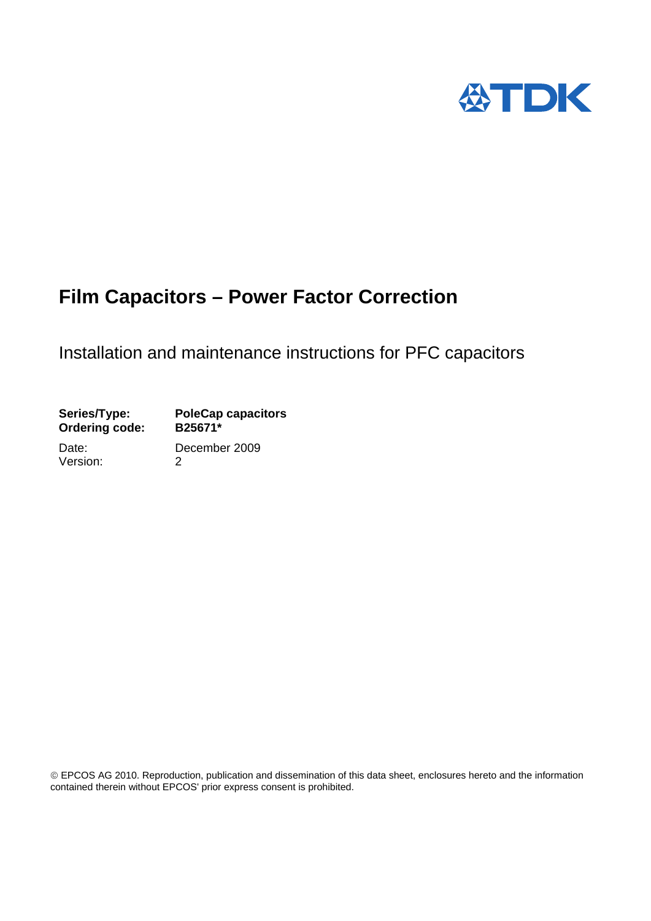

# **Film Capacitors – Power Factor Correction**

# Installation and maintenance instructions for PFC capacitors

| Series/Type:<br><b>Ordering code:</b> | <b>PoleCap capacitors</b><br>B25671* |  |  |
|---------------------------------------|--------------------------------------|--|--|
| Date:                                 | December 2009                        |  |  |
| Version:                              | 2                                    |  |  |

EPCO Product and therein without EPCOS' prior express consent is prohibited. EPCOS AG 2010. Reproduction, publication and dissemination of this data sheet, enclosures hereto and the information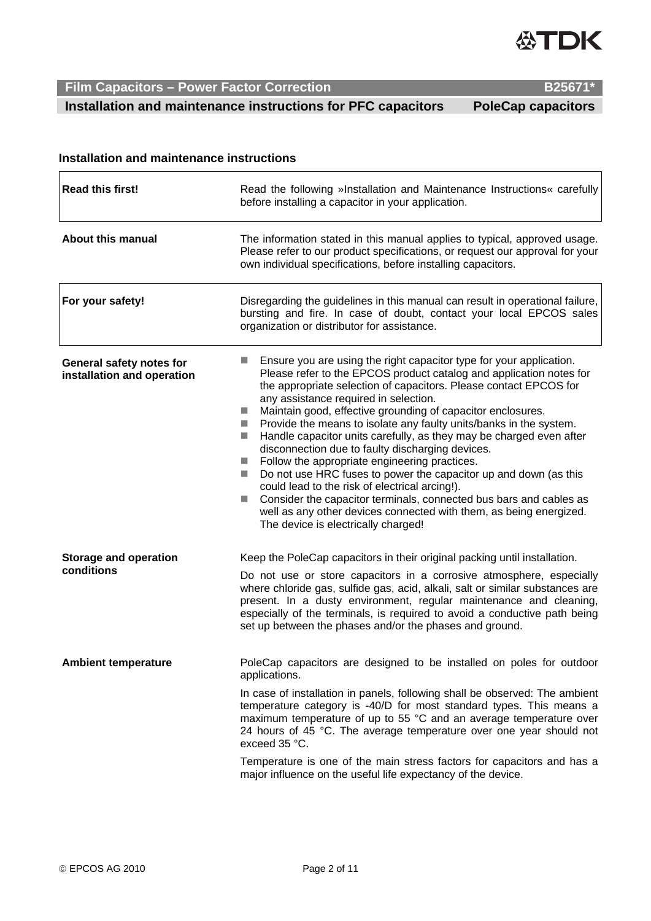

EPCOS AG 2010 Page 2 of 11

Temperature is one of the main stress factors for capacitors and has a major influence on the useful life expectancy of the device.

### **Installation and maintenance instructions**

| <b>Read this first!</b>                                | Read the following »Installation and Maintenance Instructions« carefully<br>before installing a capacitor in your application.                                                                                                                                                                                                                                                                                                                                                                                                                                                                                                                                                                                                                                                                                                                                                                                                                                                                                           |  |  |
|--------------------------------------------------------|--------------------------------------------------------------------------------------------------------------------------------------------------------------------------------------------------------------------------------------------------------------------------------------------------------------------------------------------------------------------------------------------------------------------------------------------------------------------------------------------------------------------------------------------------------------------------------------------------------------------------------------------------------------------------------------------------------------------------------------------------------------------------------------------------------------------------------------------------------------------------------------------------------------------------------------------------------------------------------------------------------------------------|--|--|
| <b>About this manual</b>                               | The information stated in this manual applies to typical, approved usage.<br>Please refer to our product specifications, or request our approval for your<br>own individual specifications, before installing capacitors.                                                                                                                                                                                                                                                                                                                                                                                                                                                                                                                                                                                                                                                                                                                                                                                                |  |  |
| For your safety!                                       | Disregarding the guidelines in this manual can result in operational failure,<br>bursting and fire. In case of doubt, contact your local EPCOS sales<br>organization or distributor for assistance.                                                                                                                                                                                                                                                                                                                                                                                                                                                                                                                                                                                                                                                                                                                                                                                                                      |  |  |
| General safety notes for<br>installation and operation | Ensure you are using the right capacitor type for your application.<br>ш<br>Please refer to the EPCOS product catalog and application notes for<br>the appropriate selection of capacitors. Please contact EPCOS for<br>any assistance required in selection.<br>Maintain good, effective grounding of capacitor enclosures.<br>$\mathcal{L}^{\mathcal{A}}$<br>Provide the means to isolate any faulty units/banks in the system.<br>$\mathcal{L}^{\mathcal{L}}$<br>Handle capacitor units carefully, as they may be charged even after<br><b>I</b><br>disconnection due to faulty discharging devices.<br>Follow the appropriate engineering practices.<br>$\mathcal{L}^{\mathcal{A}}$<br>Do not use HRC fuses to power the capacitor up and down (as this<br>$\sim$<br>could lead to the risk of electrical arcing!).<br>Consider the capacitor terminals, connected bus bars and cables as<br><b>COL</b><br>well as any other devices connected with them, as being energized.<br>The device is electrically charged! |  |  |
| <b>Storage and operation</b><br>conditions             | Keep the PoleCap capacitors in their original packing until installation.<br>Do not use or store capacitors in a corrosive atmosphere, especially<br>where chloride gas, sulfide gas, acid, alkali, salt or similar substances are<br>present. In a dusty environment, regular maintenance and cleaning,<br>especially of the terminals, is required to avoid a conductive path being<br>set up between the phases and/or the phases and ground.                                                                                                                                                                                                                                                                                                                                                                                                                                                                                                                                                                         |  |  |
| <b>Ambient temperature</b>                             | PoleCap capacitors are designed to be installed on poles for outdoor<br>applications.<br>In case of installation in panels, following shall be observed: The ambient<br>temperature category is -40/D for most standard types. This means a<br>maximum temperature of up to 55 °C and an average temperature over<br>24 hours of 45 °C. The average temperature over one year should not<br>exceed 35 °C.                                                                                                                                                                                                                                                                                                                                                                                                                                                                                                                                                                                                                |  |  |

 $\mathsf{r}$ 

 $\overline{\phantom{0}}$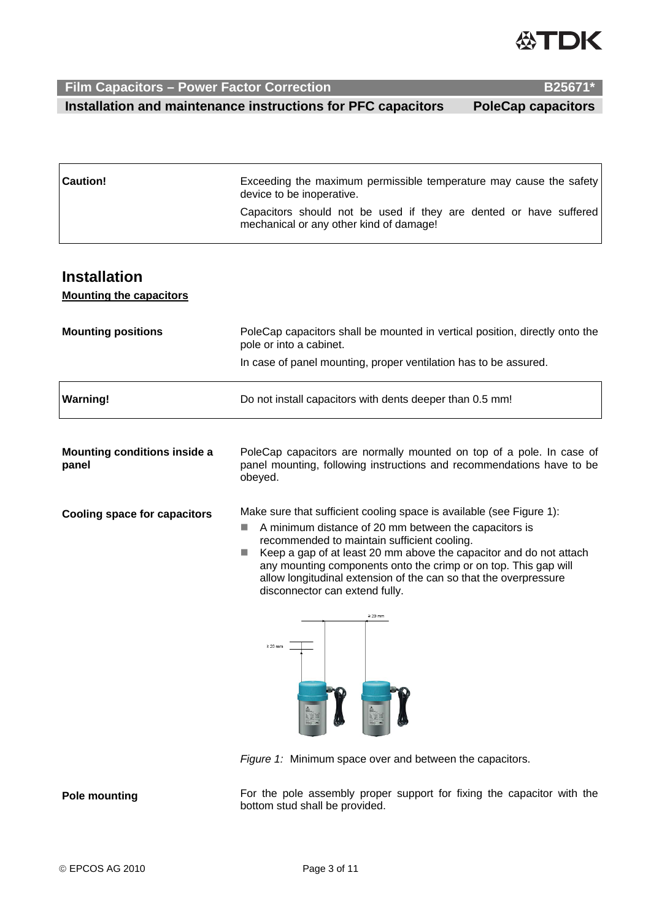

**Film Capacitors – Power Factor Correction B25671\* B25671\* Installation and maintenance instructions for PFC capacitors PoleCap capacitors** 

| <b>Caution!</b> | Exceeding the maximum permissible temperature may cause the safety<br>device to be inoperative.              |  |  |
|-----------------|--------------------------------------------------------------------------------------------------------------|--|--|
|                 | Capacitors should not be used if they are dented or have suffered<br>mechanical or any other kind of damage! |  |  |

### **Installation**

**Mounting the capacitors**

| <b>Mounting positions</b>                    | PoleCap capacitors shall be mounted in vertical position, directly onto the<br>pole or into a cabinet.                                                                                                                                                                                                                                                                                                                                                            |  |  |
|----------------------------------------------|-------------------------------------------------------------------------------------------------------------------------------------------------------------------------------------------------------------------------------------------------------------------------------------------------------------------------------------------------------------------------------------------------------------------------------------------------------------------|--|--|
|                                              | In case of panel mounting, proper ventilation has to be assured.                                                                                                                                                                                                                                                                                                                                                                                                  |  |  |
| <b>Warning!</b>                              | Do not install capacitors with dents deeper than 0.5 mm!                                                                                                                                                                                                                                                                                                                                                                                                          |  |  |
| <b>Mounting conditions inside a</b><br>panel | PoleCap capacitors are normally mounted on top of a pole. In case of<br>panel mounting, following instructions and recommendations have to be<br>obeyed.                                                                                                                                                                                                                                                                                                          |  |  |
| <b>Cooling space for capacitors</b>          | Make sure that sufficient cooling space is available (see Figure 1):<br>A minimum distance of 20 mm between the capacitors is<br>m.<br>recommended to maintain sufficient cooling.<br>Keep a gap of at least 20 mm above the capacitor and do not attach<br>any mounting components onto the crimp or on top. This gap will<br>allow longitudinal extension of the can so that the overpressure<br>disconnector can extend fully.<br>$\geq 20$ mm<br>$\geq 20$ mm |  |  |

**Pole mounting** For the pole assembly proper support for fixing the capacitor with the bottom stud shall be provided.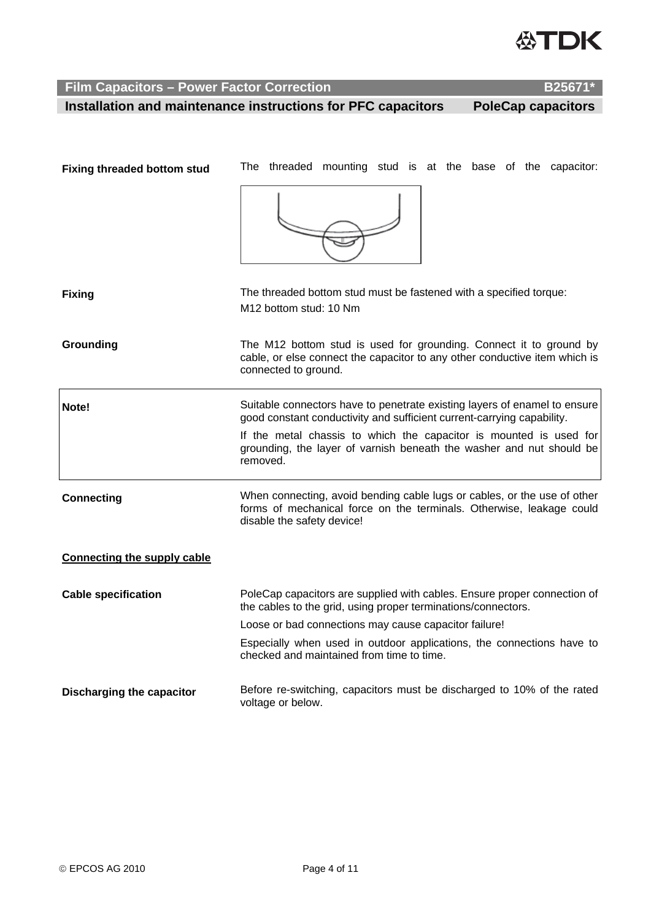

 **Installation and maintenance instructions for PFC capacitors PoleCap capacitors** 

| <b>Fixing threaded bottom stud</b> | The threaded mounting stud is at the base of the capacitor:                                                                                                                                        |  |  |
|------------------------------------|----------------------------------------------------------------------------------------------------------------------------------------------------------------------------------------------------|--|--|
|                                    |                                                                                                                                                                                                    |  |  |
| <b>Fixing</b>                      | The threaded bottom stud must be fastened with a specified torque:<br>M12 bottom stud: 10 Nm                                                                                                       |  |  |
| Grounding                          | The M12 bottom stud is used for grounding. Connect it to ground by<br>cable, or else connect the capacitor to any other conductive item which is<br>connected to ground.                           |  |  |
| Note!                              | Suitable connectors have to penetrate existing layers of enamel to ensure<br>good constant conductivity and sufficient current-carrying capability.                                                |  |  |
|                                    | If the metal chassis to which the capacitor is mounted is used for<br>grounding, the layer of varnish beneath the washer and nut should be<br>removed.                                             |  |  |
| <b>Connecting</b>                  | When connecting, avoid bending cable lugs or cables, or the use of other<br>forms of mechanical force on the terminals. Otherwise, leakage could<br>disable the safety device!                     |  |  |
| <b>Connecting the supply cable</b> |                                                                                                                                                                                                    |  |  |
| <b>Cable specification</b>         | PoleCap capacitors are supplied with cables. Ensure proper connection of<br>the cables to the grid, using proper terminations/connectors.<br>Loose or bad connections may cause capacitor failure! |  |  |
|                                    |                                                                                                                                                                                                    |  |  |
|                                    | Especially when used in outdoor applications, the connections have to<br>checked and maintained from time to time.                                                                                 |  |  |
| <b>Discharging the capacitor</b>   | Before re-switching, capacitors must be discharged to 10% of the rated<br>voltage or below.                                                                                                        |  |  |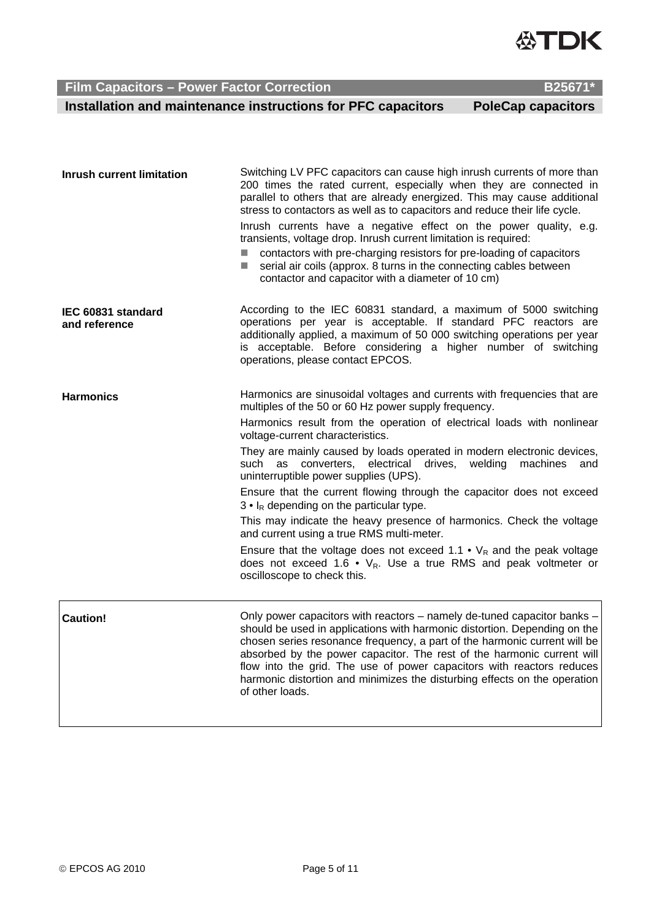

 **Installation and maintenance instructions for PFC capacitors PoleCap capacitors** 

| <b>Inrush current limitation</b>    | Switching LV PFC capacitors can cause high inrush currents of more than<br>200 times the rated current, especially when they are connected in<br>parallel to others that are already energized. This may cause additional<br>stress to contactors as well as to capacitors and reduce their life cycle.<br>Inrush currents have a negative effect on the power quality, e.g.<br>transients, voltage drop. Inrush current limitation is required:<br>contactors with pre-charging resistors for pre-loading of capacitors<br>serial air coils (approx. 8 turns in the connecting cables between<br><b>College</b><br>contactor and capacitor with a diameter of 10 cm)                                                                                                                                                                                                                                                |
|-------------------------------------|----------------------------------------------------------------------------------------------------------------------------------------------------------------------------------------------------------------------------------------------------------------------------------------------------------------------------------------------------------------------------------------------------------------------------------------------------------------------------------------------------------------------------------------------------------------------------------------------------------------------------------------------------------------------------------------------------------------------------------------------------------------------------------------------------------------------------------------------------------------------------------------------------------------------|
| IEC 60831 standard<br>and reference | According to the IEC 60831 standard, a maximum of 5000 switching<br>operations per year is acceptable. If standard PFC reactors are<br>additionally applied, a maximum of 50 000 switching operations per year<br>is acceptable. Before considering a higher number of switching<br>operations, please contact EPCOS.                                                                                                                                                                                                                                                                                                                                                                                                                                                                                                                                                                                                |
| <b>Harmonics</b>                    | Harmonics are sinusoidal voltages and currents with frequencies that are<br>multiples of the 50 or 60 Hz power supply frequency.<br>Harmonics result from the operation of electrical loads with nonlinear<br>voltage-current characteristics.<br>They are mainly caused by loads operated in modern electronic devices,<br>such as converters, electrical drives,<br>welding<br>machines<br>and<br>uninterruptible power supplies (UPS).<br>Ensure that the current flowing through the capacitor does not exceed<br>$3 ullet$ I <sub>R</sub> depending on the particular type.<br>This may indicate the heavy presence of harmonics. Check the voltage<br>and current using a true RMS multi-meter.<br>Ensure that the voltage does not exceed 1.1 $\cdot$ V <sub>R</sub> and the peak voltage<br>does not exceed 1.6 $\cdot$ V <sub>R</sub> . Use a true RMS and peak voltmeter or<br>oscilloscope to check this. |
| <b>Caution!</b>                     | Only power capacitors with reactors - namely de-tuned capacitor banks -<br>should be used in applications with harmonic distortion. Depending on the<br>chosen series resonance frequency, a part of the harmonic current will be<br>absorbed by the power capacitor. The rest of the harmonic current will<br>flow into the grid. The use of power capacitors with reactors reduces<br>harmonic distortion and minimizes the disturbing effects on the operation<br>of other loads.                                                                                                                                                                                                                                                                                                                                                                                                                                 |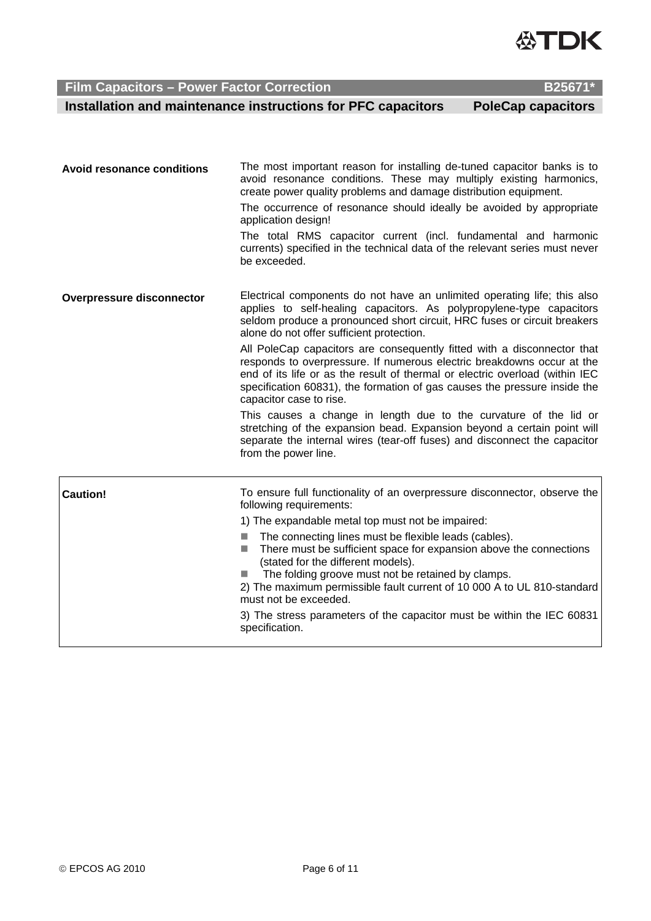© EPCOS AG 2010 Page 6 of 11

create power quality problems and damage distribution equipment. The occurrence of resonance should ideally be avoided by appropriate application design! The total RMS capacitor current (incl. fundamental and harmonic currents) specified in the technical data of the relevant series must never be exceeded. **Overpressure disconnector** Electrical components do not have an unlimited operating life; this also applies to self-healing capacitors. As polypropylene-type capacitors seldom produce a pronounced short circuit, HRC fuses or circuit breakers alone do not offer sufficient protection. All PoleCap capacitors are consequently fitted with a disconnector that responds to overpressure. If numerous electric breakdowns occur at the end of its life or as the result of thermal or electric overload (within IEC specification 60831), the formation of gas causes the pressure inside the capacitor case to rise. This causes a change in length due to the curvature of the lid or stretching of the expansion bead. Expansion beyond a certain point will separate the internal wires (tear-off fuses) and disconnect the capacitor from the power line. **Caution!** To ensure full functionality of an overpressure disconnector, observe the following requirements: 1) The expandable metal top must not be impaired:  $\blacksquare$  The connecting lines must be flexible leads (cables).  $\blacksquare$  There must be sufficient space for expansion above the connections (stated for the different models). ■ The folding groove must not be retained by clamps. 2) The maximum permissible fault current of 10 000 A to UL 810-standard must not be exceeded. 3) The stress parameters of the capacitor must be within the IEC 60831 specification.

**Avoid resonance conditions** The most important reason for installing de-tuned capacitor banks is to

avoid resonance conditions. These may multiply existing harmonics,

 **Film Capacitors – Power Factor Correction B25671** 

 **Installation and maintenance instructions for PFC capacitors PoleCap capacitors** 

**ЭТПК**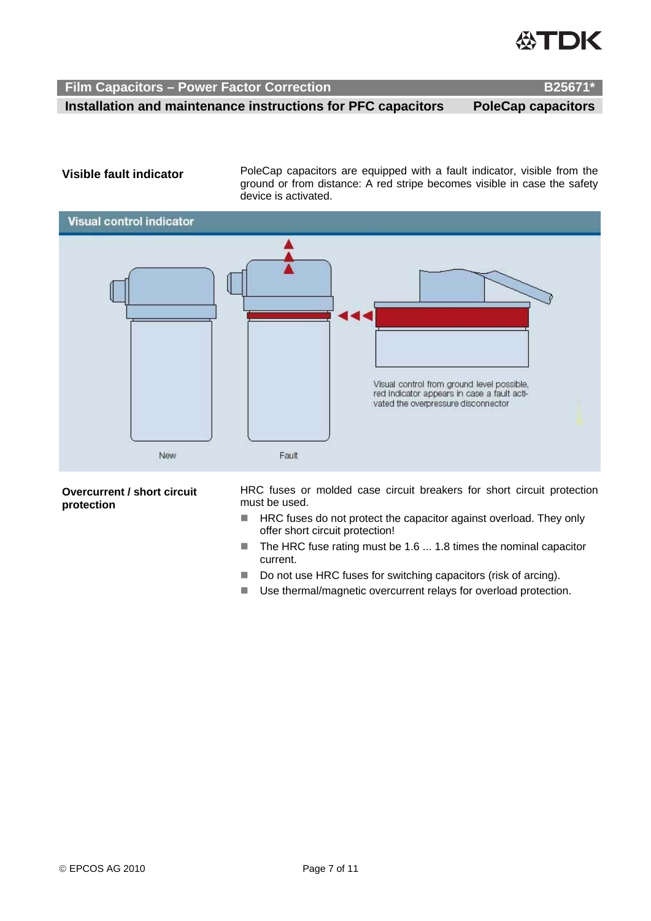

 **Installation and maintenance instructions for PFC capacitors PoleCap capacitors** 

**Visible fault indicator** PoleCap capacitors are equipped with a fault indicator, visible from the ground or from distance: A red stripe becomes visible in case the safety device is activated.



**Overcurrent / short circuit protection** 

HRC fuses or molded case circuit breakers for short circuit protection must be used.

- HRC fuses do not protect the capacitor against overload. They only offer short circuit protection!
- $\blacksquare$  The HRC fuse rating must be 1.6 ... 1.8 times the nominal capacitor current.
- Do not use HRC fuses for switching capacitors (risk of arcing).
- Use thermal/magnetic overcurrent relays for overload protection.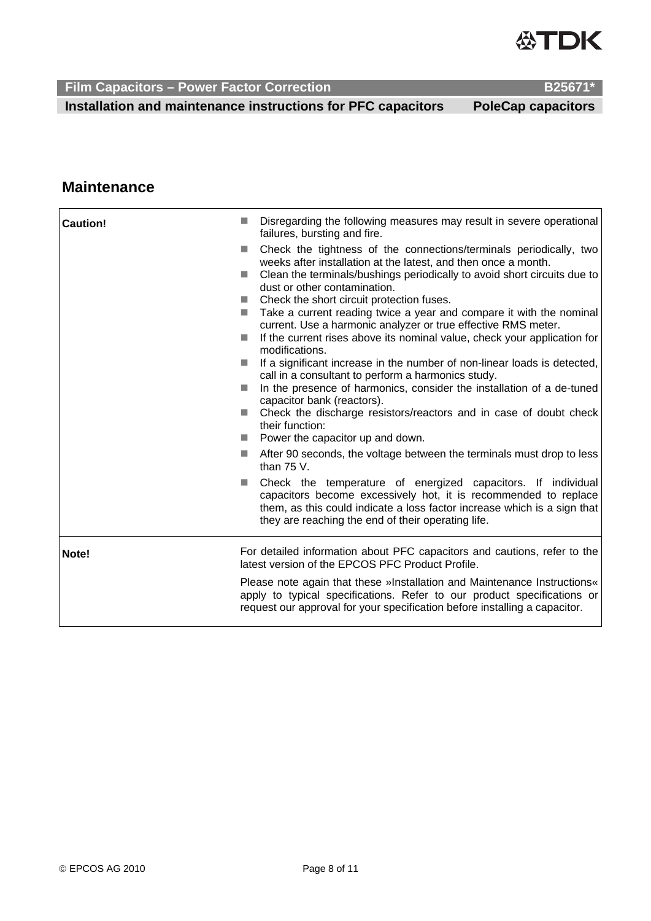

 **Installation and maintenance instructions for PFC capacitors PoleCap capacitors** 

## **Maintenance**

| <b>Caution!</b><br>a a<br>$\Box$<br>m.<br><b>College</b><br>E.<br>a a<br>m. | Disregarding the following measures may result in severe operational<br>failures, bursting and fire.<br>Check the tightness of the connections/terminals periodically, two<br>weeks after installation at the latest, and then once a month.<br>Clean the terminals/bushings periodically to avoid short circuits due to<br>dust or other contamination.<br>Check the short circuit protection fuses.<br>and the second<br>Take a current reading twice a year and compare it with the nominal<br>current. Use a harmonic analyzer or true effective RMS meter.<br>If the current rises above its nominal value, check your application for<br>modifications.<br>If a significant increase in the number of non-linear loads is detected,<br>call in a consultant to perform a harmonics study.<br>In the presence of harmonics, consider the installation of a de-tuned<br>capacitor bank (reactors).<br>■ Check the discharge resistors/reactors and in case of doubt check<br>their function:<br>$\blacksquare$ Power the capacitor up and down.<br>After 90 seconds, the voltage between the terminals must drop to less<br>than $75V$ .<br>Check the temperature of energized capacitors. If individual<br>capacitors become excessively hot, it is recommended to replace<br>them, as this could indicate a loss factor increase which is a sign that<br>they are reaching the end of their operating life. |
|-----------------------------------------------------------------------------|-------------------------------------------------------------------------------------------------------------------------------------------------------------------------------------------------------------------------------------------------------------------------------------------------------------------------------------------------------------------------------------------------------------------------------------------------------------------------------------------------------------------------------------------------------------------------------------------------------------------------------------------------------------------------------------------------------------------------------------------------------------------------------------------------------------------------------------------------------------------------------------------------------------------------------------------------------------------------------------------------------------------------------------------------------------------------------------------------------------------------------------------------------------------------------------------------------------------------------------------------------------------------------------------------------------------------------------------------------------------------------------------------------------------|
| Note!                                                                       | For detailed information about PFC capacitors and cautions, refer to the<br>latest version of the EPCOS PFC Product Profile.<br>Please note again that these »Installation and Maintenance Instructions«<br>apply to typical specifications. Refer to our product specifications or<br>request our approval for your specification before installing a capacitor.                                                                                                                                                                                                                                                                                                                                                                                                                                                                                                                                                                                                                                                                                                                                                                                                                                                                                                                                                                                                                                                 |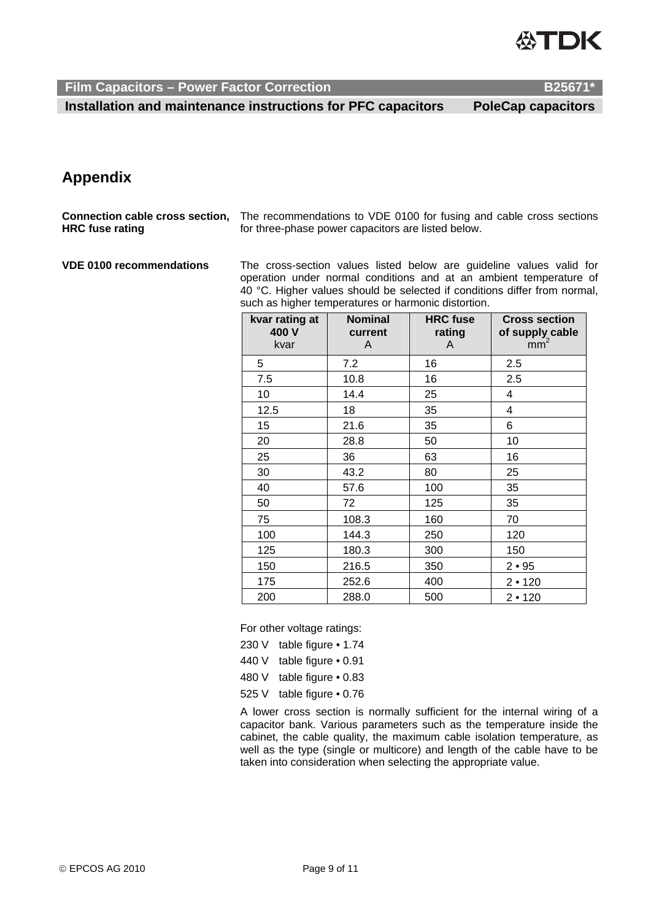

 **Installation and maintenance instructions for PFC capacitors PoleCap capacitors** 

## **Appendix**

**Connection cable cross section, HRC fuse rating**  The recommendations to VDE 0100 for fusing and cable cross sections for three-phase power capacitors are listed below.

**VDE 0100 recommendations** The cross-section values listed below are guideline values valid for operation under normal conditions and at an ambient temperature of 40 °C. Higher values should be selected if conditions differ from normal, such as higher temperatures or harmonic distortion.

| kvar rating at<br>400 V<br>kvar | <b>Nominal</b><br>current<br>A | <b>HRC</b> fuse<br>rating<br>A | <b>Cross section</b><br>of supply cable<br>mm <sup>2</sup> |
|---------------------------------|--------------------------------|--------------------------------|------------------------------------------------------------|
| 5                               | 7.2                            | 16                             | 2.5                                                        |
| 7.5                             | 10.8                           | 16                             | 2.5                                                        |
| 10                              | 14.4                           | 25                             | 4                                                          |
| 12.5                            | 18                             | 35                             | 4                                                          |
| 15                              | 21.6                           | 35                             | 6                                                          |
| 20                              | 28.8                           | 50                             | 10                                                         |
| 25                              | 36                             | 63                             | 16                                                         |
| 30                              | 43.2                           | 80                             | 25                                                         |
| 40                              | 57.6                           | 100                            | 35                                                         |
| 50                              | 72                             | 125                            | 35                                                         |
| 75                              | 108.3                          | 160                            | 70                                                         |
| 100                             | 144.3                          | 250                            | 120                                                        |
| 125                             | 180.3                          | 300                            | 150                                                        |
| 150                             | 216.5                          | 350                            | $2 \cdot 95$                                               |
| 175                             | 252.6                          | 400                            | 2 • 120                                                    |
| 200                             | 288.0                          | 500                            | 2 • 120                                                    |

For other voltage ratings:

- 230 V table figure 1.74
- 440 V table figure 0.91
- 480 V table figure 0.83
- 525 V table figure 0.76

A lower cross section is normally sufficient for the internal wiring of a capacitor bank. Various parameters such as the temperature inside the cabinet, the cable quality, the maximum cable isolation temperature, as well as the type (single or multicore) and length of the cable have to be taken into consideration when selecting the appropriate value.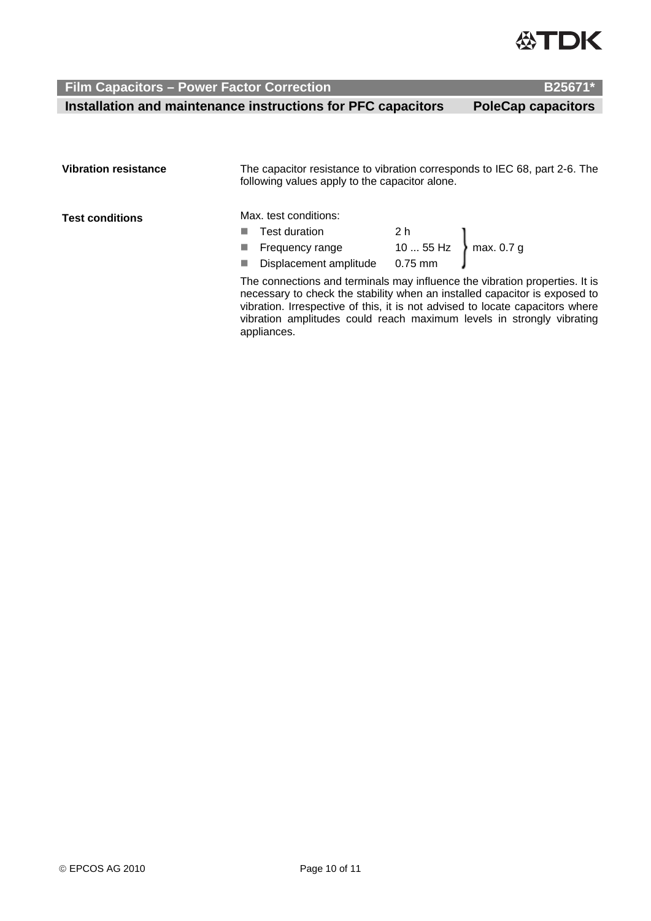

 **Installation and maintenance instructions for PFC capacitors PoleCap capacitors** 

| <b>Vibration resistance</b> | The capacitor resistance to vibration corresponds to IEC 68, part 2-6. The<br>following values apply to the capacitor alone.                                                                                                                                                                                                       |  |  |
|-----------------------------|------------------------------------------------------------------------------------------------------------------------------------------------------------------------------------------------------------------------------------------------------------------------------------------------------------------------------------|--|--|
| <b>Test conditions</b>      | Max. test conditions:<br>Test duration 2 h<br>Frequency range 10  55 Hz max. 0.7 g<br>Displacement amplitude 0.75 mm<br><b>I</b><br><b>I</b><br><b>In</b>                                                                                                                                                                          |  |  |
|                             | The connections and terminals may influence the vibration properties. It is<br>necessary to check the stability when an installed capacitor is exposed to<br>vibration. Irrespective of this, it is not advised to locate capacitors where<br>vibration amplitudes could reach maximum levels in strongly vibrating<br>appliances. |  |  |